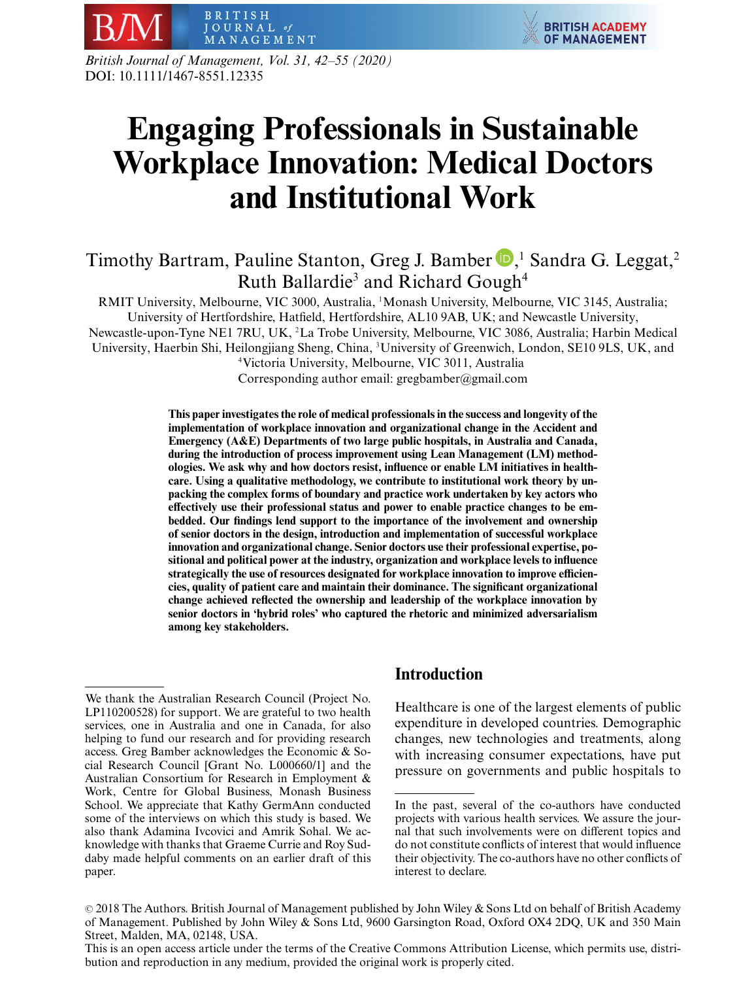

*British Journal of Management, Vol. 31, 42–55 (2020)* DOI: 10.1111/1467-8551.12335

# **Engaging Professionals in Sustainable Workplace Innovation: Medical Doctors and Institutional Work**

# Timothy Bartram[,](http://orcid.org/0000-0001-6646-3065) Pauline Stanton, Greg J. Bamber  $\blacksquare, ^{1}$  Sandra G. Leggat,<sup>2</sup> Ruth Ballardie<sup>3</sup> and Richard Gough<sup>4</sup>

RMIT University, Melbourne, VIC 3000, Australia, <sup>1</sup> Monash University, Melbourne, VIC 3145, Australia; University of Hertfordshire, Hatfield, Hertfordshire, AL10 9AB, UK; and Newcastle University, Newcastle-upon-Tyne NE1 7RU, UK, <sup>2</sup> La Trobe University, Melbourne, VIC 3086, Australia; Harbin Medical University, Haerbin Shi, Heilongjiang Sheng, China, <sup>3</sup> University of Greenwich, London, SE10 9LS, UK, and 4 Victoria University, Melbourne, VIC 3011, Australia Corresponding author email: gregbamber@gmail.com

> **This paper investigates the role of medical professionals in the success and longevity of the implementation of workplace innovation and organizational change in the Accident and Emergency (A&E) Departments of two large public hospitals, in Australia and Canada, during the introduction of process improvement using Lean Management (LM) methodologies. We ask why and how doctors resist, influence or enable LM initiatives in healthcare. Using a qualitative methodology, we contribute to institutional work theory by unpacking the complex forms of boundary and practice work undertaken by key actors who effectively use their professional status and power to enable practice changes to be embedded. Our findings lend support to the importance of the involvement and ownership of senior doctors in the design, introduction and implementation of successful workplace innovation and organizational change. Senior doctors use their professional expertise, positional and political power at the industry, organization and workplace levels to influence strategically the use of resources designated for workplace innovation to improve efficiencies, quality of patient care and maintain their dominance. The significant organizational change achieved reflected the ownership and leadership of the workplace innovation by senior doctors in 'hybrid roles' who captured the rhetoric and minimized adversarialism among key stakeholders.**

# **Introduction**

Healthcare is one of the largest elements of public expenditure in developed countries. Demographic changes, new technologies and treatments, along with increasing consumer expectations, have put pressure on governments and public hospitals to

We thank the Australian Research Council (Project No. LP110200528) for support. We are grateful to two health services, one in Australia and one in Canada, for also helping to fund our research and for providing research access. Greg Bamber acknowledges the Economic & Social Research Council [Grant No. L000660/1] and the Australian Consortium for Research in Employment & Work, Centre for Global Business, Monash Business School. We appreciate that Kathy GermAnn conducted some of the interviews on which this study is based. We also thank Adamina Ivcovici and Amrik Sohal. We acknowledge with thanks that Graeme Currie and Roy Suddaby made helpful comments on an earlier draft of this paper.

In the past, several of the co-authors have conducted projects with various health services. We assure the journal that such involvements were on different topics and do not constitute conflicts of interest that would influence their objectivity. The co-authors have no other conflicts of interest to declare.

<sup>© 2018</sup> The Authors. British Journal of Management published by John Wiley & Sons Ltd on behalf of British Academy of Management. Published by John Wiley & Sons Ltd, 9600 Garsington Road, Oxford OX4 2DQ, UK and 350 Main Street, Malden, MA, 02148, USA.

This is an open access article under the terms of the Creative Commons Attribution License, which permits use, distribution and reproduction in any medium, provided the original work is properly cited.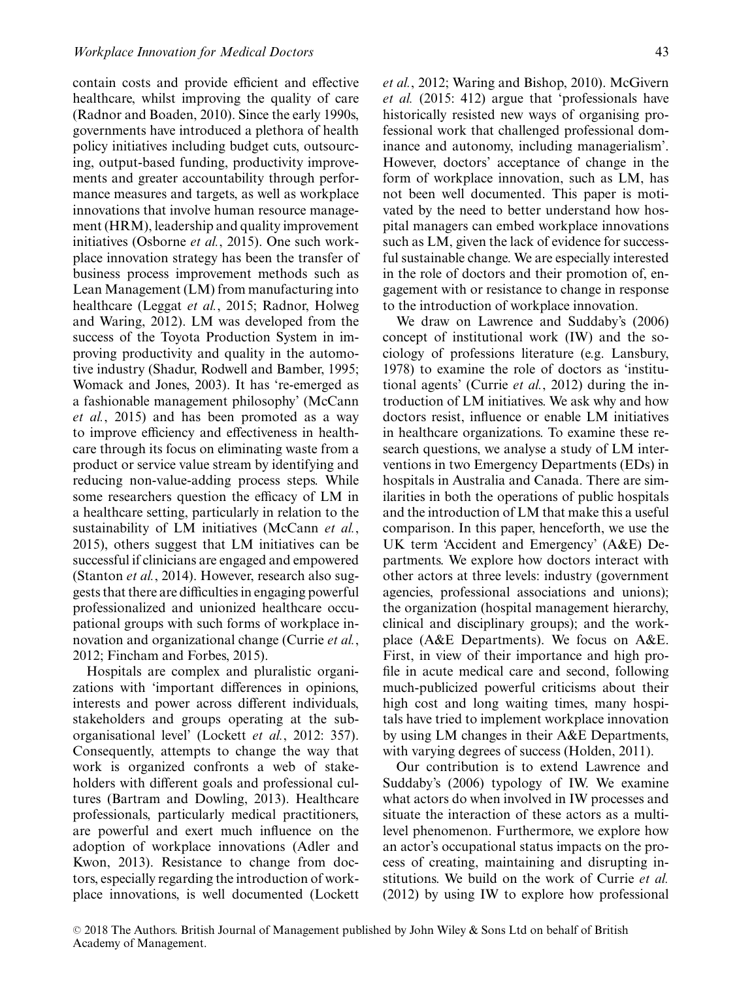contain costs and provide efficient and effective healthcare, whilst improving the quality of care (Radnor and Boaden, 2010). Since the early 1990s, governments have introduced a plethora of health policy initiatives including budget cuts, outsourcing, output-based funding, productivity improvements and greater accountability through performance measures and targets, as well as workplace innovations that involve human resource management (HRM), leadership and quality improvement initiatives (Osborne *et al.*, 2015). One such workplace innovation strategy has been the transfer of business process improvement methods such as Lean Management (LM) from manufacturing into healthcare (Leggat *et al.*, 2015; Radnor, Holweg and Waring, 2012). LM was developed from the success of the Toyota Production System in improving productivity and quality in the automotive industry (Shadur, Rodwell and Bamber, 1995; Womack and Jones, 2003). It has 're-emerged as a fashionable management philosophy' (McCann *et al.*, 2015) and has been promoted as a way to improve efficiency and effectiveness in healthcare through its focus on eliminating waste from a product or service value stream by identifying and reducing non-value-adding process steps. While some researchers question the efficacy of LM in a healthcare setting, particularly in relation to the sustainability of LM initiatives (McCann *et al.*, 2015), others suggest that LM initiatives can be successful if clinicians are engaged and empowered (Stanton *et al.*, 2014). However, research also suggests that there are difficulties in engaging powerful professionalized and unionized healthcare occupational groups with such forms of workplace innovation and organizational change (Currie *et al.*, 2012; Fincham and Forbes, 2015).

Hospitals are complex and pluralistic organizations with 'important differences in opinions, interests and power across different individuals, stakeholders and groups operating at the suborganisational level' (Lockett *et al.*, 2012: 357). Consequently, attempts to change the way that work is organized confronts a web of stakeholders with different goals and professional cultures (Bartram and Dowling, 2013). Healthcare professionals, particularly medical practitioners, are powerful and exert much influence on the adoption of workplace innovations (Adler and Kwon, 2013). Resistance to change from doctors, especially regarding the introduction of workplace innovations, is well documented (Lockett *et al.*, 2012; Waring and Bishop, 2010). McGivern *et al.* (2015: 412) argue that 'professionals have historically resisted new ways of organising professional work that challenged professional dominance and autonomy, including managerialism'. However, doctors' acceptance of change in the form of workplace innovation, such as LM, has not been well documented. This paper is motivated by the need to better understand how hospital managers can embed workplace innovations such as LM, given the lack of evidence for successful sustainable change. We are especially interested in the role of doctors and their promotion of, engagement with or resistance to change in response to the introduction of workplace innovation.

We draw on Lawrence and Suddaby's (2006) concept of institutional work (IW) and the sociology of professions literature (e.g. Lansbury, 1978) to examine the role of doctors as 'institutional agents' (Currie *et al.*, 2012) during the introduction of LM initiatives. We ask why and how doctors resist, influence or enable LM initiatives in healthcare organizations. To examine these research questions, we analyse a study of LM interventions in two Emergency Departments (EDs) in hospitals in Australia and Canada. There are similarities in both the operations of public hospitals and the introduction of LM that make this a useful comparison. In this paper, henceforth, we use the UK term 'Accident and Emergency' (A&E) Departments. We explore how doctors interact with other actors at three levels: industry (government agencies, professional associations and unions); the organization (hospital management hierarchy, clinical and disciplinary groups); and the workplace (A&E Departments). We focus on A&E. First, in view of their importance and high profile in acute medical care and second, following much-publicized powerful criticisms about their high cost and long waiting times, many hospitals have tried to implement workplace innovation by using LM changes in their A&E Departments, with varying degrees of success (Holden, 2011).

Our contribution is to extend Lawrence and Suddaby's (2006) typology of IW. We examine what actors do when involved in IW processes and situate the interaction of these actors as a multilevel phenomenon. Furthermore, we explore how an actor's occupational status impacts on the process of creating, maintaining and disrupting institutions. We build on the work of Currie *et al.* (2012) by using IW to explore how professional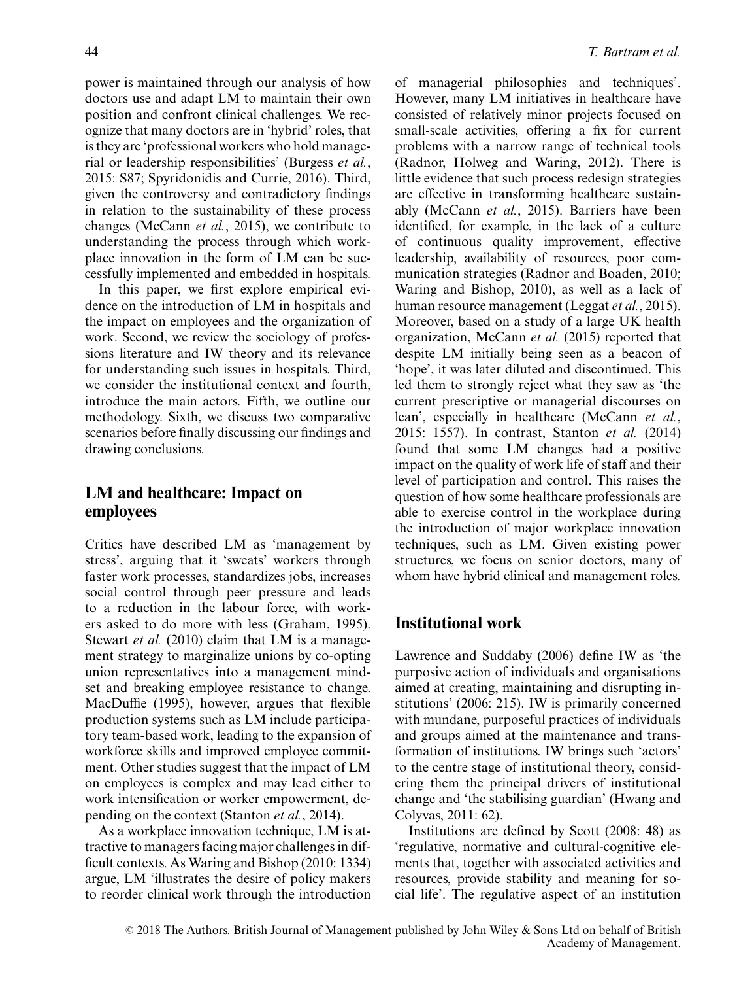power is maintained through our analysis of how doctors use and adapt LM to maintain their own position and confront clinical challenges. We recognize that many doctors are in 'hybrid' roles, that is they are 'professional workers who hold managerial or leadership responsibilities' (Burgess *et al.*, 2015: S87; Spyridonidis and Currie, 2016). Third, given the controversy and contradictory findings in relation to the sustainability of these process changes (McCann *et al.*, 2015), we contribute to understanding the process through which workplace innovation in the form of LM can be successfully implemented and embedded in hospitals.

In this paper, we first explore empirical evidence on the introduction of LM in hospitals and the impact on employees and the organization of work. Second, we review the sociology of professions literature and IW theory and its relevance for understanding such issues in hospitals. Third, we consider the institutional context and fourth, introduce the main actors. Fifth, we outline our methodology. Sixth, we discuss two comparative scenarios before finally discussing our findings and drawing conclusions.

## **LM and healthcare: Impact on employees**

Critics have described LM as 'management by stress', arguing that it 'sweats' workers through faster work processes, standardizes jobs, increases social control through peer pressure and leads to a reduction in the labour force, with workers asked to do more with less (Graham, 1995). Stewart *et al.* (2010) claim that LM is a management strategy to marginalize unions by co-opting union representatives into a management mindset and breaking employee resistance to change. MacDuffie (1995), however, argues that flexible production systems such as LM include participatory team-based work, leading to the expansion of workforce skills and improved employee commitment. Other studies suggest that the impact of LM on employees is complex and may lead either to work intensification or worker empowerment, depending on the context (Stanton *et al.*, 2014).

As a workplace innovation technique, LM is attractive to managers facing major challenges in difficult contexts. As Waring and Bishop (2010: 1334) argue, LM 'illustrates the desire of policy makers to reorder clinical work through the introduction

of managerial philosophies and techniques'. However, many LM initiatives in healthcare have consisted of relatively minor projects focused on small-scale activities, offering a fix for current problems with a narrow range of technical tools (Radnor, Holweg and Waring, 2012). There is little evidence that such process redesign strategies are effective in transforming healthcare sustainably (McCann *et al.*, 2015). Barriers have been identified, for example, in the lack of a culture of continuous quality improvement, effective leadership, availability of resources, poor communication strategies (Radnor and Boaden, 2010; Waring and Bishop, 2010), as well as a lack of human resource management (Leggat *et al.*, 2015). Moreover, based on a study of a large UK health organization, McCann *et al.* (2015) reported that despite LM initially being seen as a beacon of 'hope', it was later diluted and discontinued. This led them to strongly reject what they saw as 'the current prescriptive or managerial discourses on lean', especially in healthcare (McCann *et al.*, 2015: 1557). In contrast, Stanton *et al.* (2014) found that some LM changes had a positive impact on the quality of work life of staff and their level of participation and control. This raises the question of how some healthcare professionals are able to exercise control in the workplace during the introduction of major workplace innovation techniques, such as LM. Given existing power structures, we focus on senior doctors, many of whom have hybrid clinical and management roles.

#### **Institutional work**

Lawrence and Suddaby (2006) define IW as 'the purposive action of individuals and organisations aimed at creating, maintaining and disrupting institutions' (2006: 215). IW is primarily concerned with mundane, purposeful practices of individuals and groups aimed at the maintenance and transformation of institutions. IW brings such 'actors' to the centre stage of institutional theory, considering them the principal drivers of institutional change and 'the stabilising guardian' (Hwang and Colyvas, 2011: 62).

Institutions are defined by Scott (2008: 48) as 'regulative, normative and cultural-cognitive elements that, together with associated activities and resources, provide stability and meaning for social life'. The regulative aspect of an institution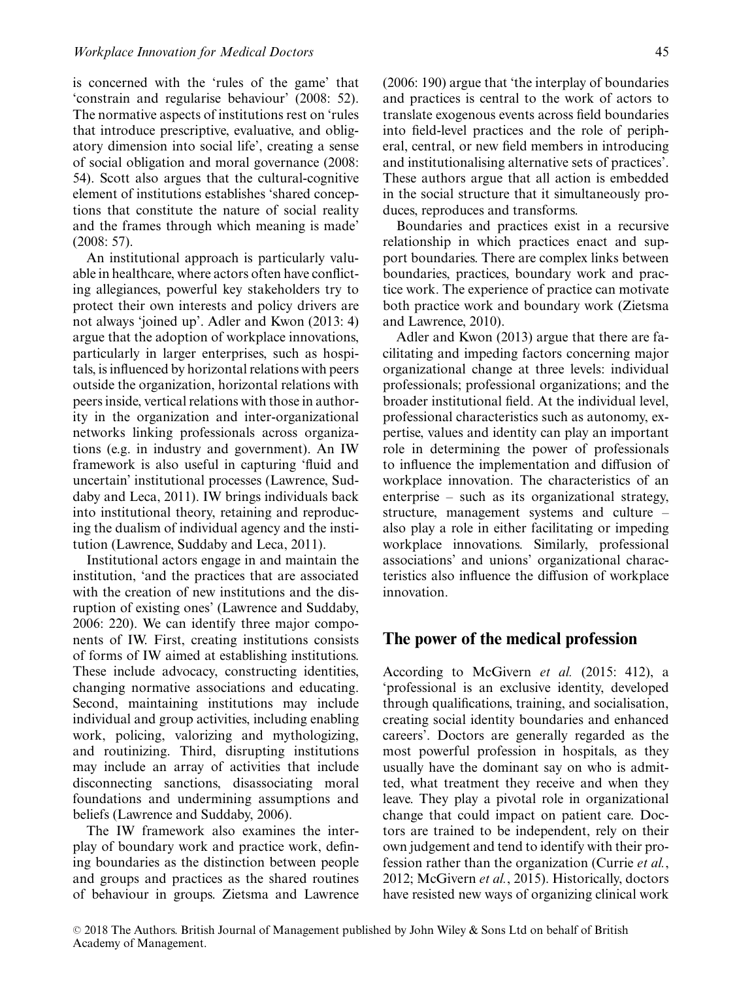is concerned with the 'rules of the game' that 'constrain and regularise behaviour' (2008: 52). The normative aspects of institutions rest on 'rules that introduce prescriptive, evaluative, and obligatory dimension into social life', creating a sense of social obligation and moral governance (2008: 54). Scott also argues that the cultural-cognitive element of institutions establishes 'shared conceptions that constitute the nature of social reality and the frames through which meaning is made' (2008: 57).

An institutional approach is particularly valuable in healthcare, where actors often have conflicting allegiances, powerful key stakeholders try to protect their own interests and policy drivers are not always 'joined up'. Adler and Kwon (2013: 4) argue that the adoption of workplace innovations, particularly in larger enterprises, such as hospitals, is influenced by horizontal relations with peers outside the organization, horizontal relations with peers inside, vertical relations with those in authority in the organization and inter-organizational networks linking professionals across organizations (e.g. in industry and government). An IW framework is also useful in capturing 'fluid and uncertain' institutional processes (Lawrence, Suddaby and Leca, 2011). IW brings individuals back into institutional theory, retaining and reproducing the dualism of individual agency and the institution (Lawrence, Suddaby and Leca, 2011).

Institutional actors engage in and maintain the institution, 'and the practices that are associated with the creation of new institutions and the disruption of existing ones' (Lawrence and Suddaby, 2006: 220). We can identify three major components of IW. First, creating institutions consists of forms of IW aimed at establishing institutions. These include advocacy, constructing identities, changing normative associations and educating. Second, maintaining institutions may include individual and group activities, including enabling work, policing, valorizing and mythologizing, and routinizing. Third, disrupting institutions may include an array of activities that include disconnecting sanctions, disassociating moral foundations and undermining assumptions and beliefs (Lawrence and Suddaby, 2006).

The IW framework also examines the interplay of boundary work and practice work, defining boundaries as the distinction between people and groups and practices as the shared routines of behaviour in groups. Zietsma and Lawrence (2006: 190) argue that 'the interplay of boundaries and practices is central to the work of actors to translate exogenous events across field boundaries into field-level practices and the role of peripheral, central, or new field members in introducing and institutionalising alternative sets of practices'. These authors argue that all action is embedded in the social structure that it simultaneously produces, reproduces and transforms.

Boundaries and practices exist in a recursive relationship in which practices enact and support boundaries. There are complex links between boundaries, practices, boundary work and practice work. The experience of practice can motivate both practice work and boundary work (Zietsma and Lawrence, 2010).

Adler and Kwon (2013) argue that there are facilitating and impeding factors concerning major organizational change at three levels: individual professionals; professional organizations; and the broader institutional field. At the individual level, professional characteristics such as autonomy, expertise, values and identity can play an important role in determining the power of professionals to influence the implementation and diffusion of workplace innovation. The characteristics of an enterprise – such as its organizational strategy, structure, management systems and culture – also play a role in either facilitating or impeding workplace innovations. Similarly, professional associations' and unions' organizational characteristics also influence the diffusion of workplace innovation.

#### **The power of the medical profession**

According to McGivern *et al.* (2015: 412), a 'professional is an exclusive identity, developed through qualifications, training, and socialisation, creating social identity boundaries and enhanced careers'. Doctors are generally regarded as the most powerful profession in hospitals, as they usually have the dominant say on who is admitted, what treatment they receive and when they leave. They play a pivotal role in organizational change that could impact on patient care. Doctors are trained to be independent, rely on their own judgement and tend to identify with their profession rather than the organization (Currie *et al.*, 2012; McGivern *et al.*, 2015). Historically, doctors have resisted new ways of organizing clinical work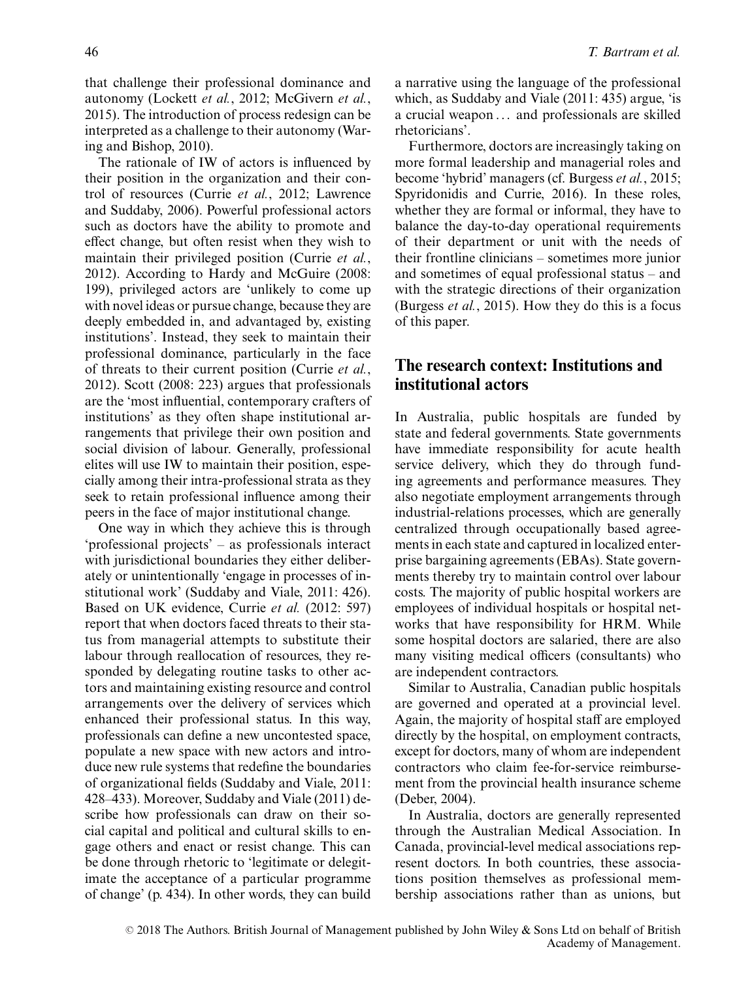that challenge their professional dominance and autonomy (Lockett *et al.*, 2012; McGivern *et al.*, 2015). The introduction of process redesign can be interpreted as a challenge to their autonomy (Waring and Bishop, 2010).

The rationale of IW of actors is influenced by their position in the organization and their control of resources (Currie *et al.*, 2012; Lawrence and Suddaby, 2006). Powerful professional actors such as doctors have the ability to promote and effect change, but often resist when they wish to maintain their privileged position (Currie *et al.*, 2012). According to Hardy and McGuire (2008: 199), privileged actors are 'unlikely to come up with novel ideas or pursue change, because they are deeply embedded in, and advantaged by, existing institutions'. Instead, they seek to maintain their professional dominance, particularly in the face of threats to their current position (Currie *et al.*, 2012). Scott (2008: 223) argues that professionals are the 'most influential, contemporary crafters of institutions' as they often shape institutional arrangements that privilege their own position and social division of labour. Generally, professional elites will use IW to maintain their position, especially among their intra-professional strata as they seek to retain professional influence among their peers in the face of major institutional change.

One way in which they achieve this is through 'professional projects' – as professionals interact with jurisdictional boundaries they either deliberately or unintentionally 'engage in processes of institutional work' (Suddaby and Viale, 2011: 426). Based on UK evidence, Currie *et al.* (2012: 597) report that when doctors faced threats to their status from managerial attempts to substitute their labour through reallocation of resources, they responded by delegating routine tasks to other actors and maintaining existing resource and control arrangements over the delivery of services which enhanced their professional status. In this way, professionals can define a new uncontested space, populate a new space with new actors and introduce new rule systems that redefine the boundaries of organizational fields (Suddaby and Viale, 2011: 428–433). Moreover, Suddaby and Viale (2011) describe how professionals can draw on their social capital and political and cultural skills to engage others and enact or resist change. This can be done through rhetoric to 'legitimate or delegitimate the acceptance of a particular programme of change' (p. 434). In other words, they can build a narrative using the language of the professional which, as Suddaby and Viale (2011: 435) argue, 'is a crucial weapon ... and professionals are skilled rhetoricians'.

Furthermore, doctors are increasingly taking on more formal leadership and managerial roles and become 'hybrid' managers (cf. Burgess *et al.*, 2015; Spyridonidis and Currie, 2016). In these roles, whether they are formal or informal, they have to balance the day-to-day operational requirements of their department or unit with the needs of their frontline clinicians – sometimes more junior and sometimes of equal professional status – and with the strategic directions of their organization (Burgess *et al.*, 2015). How they do this is a focus of this paper.

# **The research context: Institutions and institutional actors**

In Australia, public hospitals are funded by state and federal governments. State governments have immediate responsibility for acute health service delivery, which they do through funding agreements and performance measures. They also negotiate employment arrangements through industrial-relations processes, which are generally centralized through occupationally based agreements in each state and captured in localized enterprise bargaining agreements (EBAs). State governments thereby try to maintain control over labour costs. The majority of public hospital workers are employees of individual hospitals or hospital networks that have responsibility for HRM. While some hospital doctors are salaried, there are also many visiting medical officers (consultants) who are independent contractors.

Similar to Australia, Canadian public hospitals are governed and operated at a provincial level. Again, the majority of hospital staff are employed directly by the hospital, on employment contracts, except for doctors, many of whom are independent contractors who claim fee-for-service reimbursement from the provincial health insurance scheme (Deber, 2004).

In Australia, doctors are generally represented through the Australian Medical Association. In Canada, provincial-level medical associations represent doctors. In both countries, these associations position themselves as professional membership associations rather than as unions, but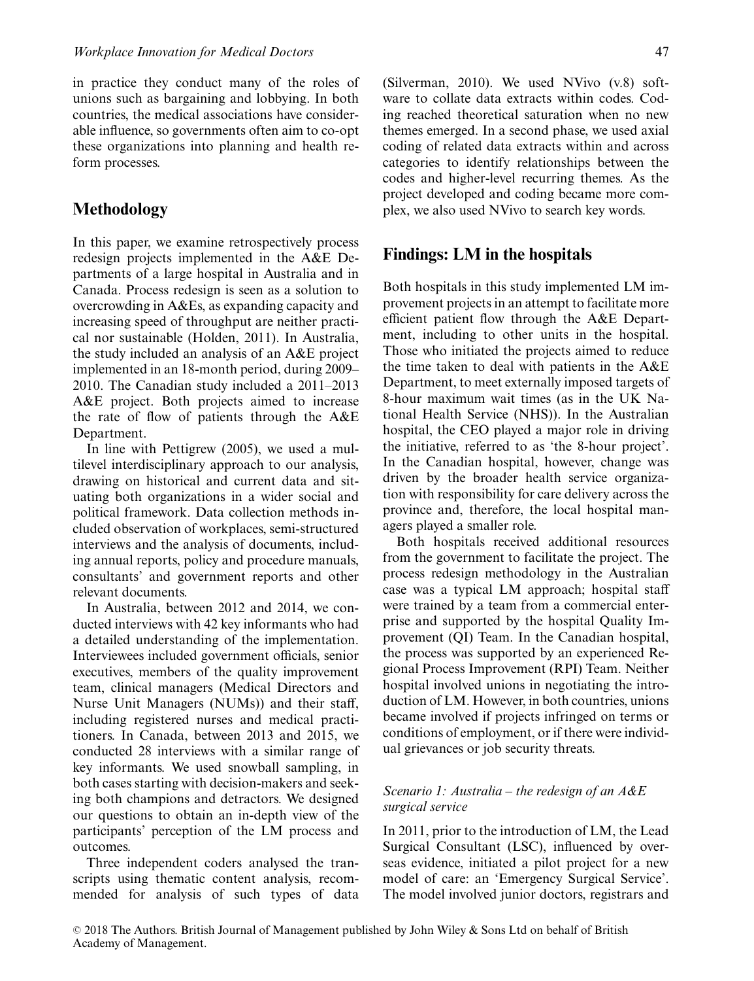in practice they conduct many of the roles of unions such as bargaining and lobbying. In both countries, the medical associations have considerable influence, so governments often aim to co-opt these organizations into planning and health reform processes.

## **Methodology**

In this paper, we examine retrospectively process redesign projects implemented in the A&E Departments of a large hospital in Australia and in Canada. Process redesign is seen as a solution to overcrowding in A&Es, as expanding capacity and increasing speed of throughput are neither practical nor sustainable (Holden, 2011). In Australia, the study included an analysis of an A&E project implemented in an 18-month period, during 2009– 2010. The Canadian study included a 2011–2013 A&E project. Both projects aimed to increase the rate of flow of patients through the A&E Department.

In line with Pettigrew (2005), we used a multilevel interdisciplinary approach to our analysis, drawing on historical and current data and situating both organizations in a wider social and political framework. Data collection methods included observation of workplaces, semi-structured interviews and the analysis of documents, including annual reports, policy and procedure manuals, consultants' and government reports and other relevant documents.

In Australia, between 2012 and 2014, we conducted interviews with 42 key informants who had a detailed understanding of the implementation. Interviewees included government officials, senior executives, members of the quality improvement team, clinical managers (Medical Directors and Nurse Unit Managers (NUMs)) and their staff, including registered nurses and medical practitioners. In Canada, between 2013 and 2015, we conducted 28 interviews with a similar range of key informants. We used snowball sampling, in both cases starting with decision-makers and seeking both champions and detractors. We designed our questions to obtain an in-depth view of the participants' perception of the LM process and outcomes.

Three independent coders analysed the transcripts using thematic content analysis, recommended for analysis of such types of data (Silverman, 2010). We used NVivo (v.8) software to collate data extracts within codes. Coding reached theoretical saturation when no new themes emerged. In a second phase, we used axial coding of related data extracts within and across categories to identify relationships between the codes and higher-level recurring themes. As the project developed and coding became more complex, we also used NVivo to search key words.

#### **Findings: LM in the hospitals**

Both hospitals in this study implemented LM improvement projects in an attempt to facilitate more efficient patient flow through the A&E Department, including to other units in the hospital. Those who initiated the projects aimed to reduce the time taken to deal with patients in the A&E Department, to meet externally imposed targets of 8-hour maximum wait times (as in the UK National Health Service (NHS)). In the Australian hospital, the CEO played a major role in driving the initiative, referred to as 'the 8-hour project'. In the Canadian hospital, however, change was driven by the broader health service organization with responsibility for care delivery across the province and, therefore, the local hospital managers played a smaller role.

Both hospitals received additional resources from the government to facilitate the project. The process redesign methodology in the Australian case was a typical LM approach; hospital staff were trained by a team from a commercial enterprise and supported by the hospital Quality Improvement (QI) Team. In the Canadian hospital, the process was supported by an experienced Regional Process Improvement (RPI) Team. Neither hospital involved unions in negotiating the introduction of LM. However, in both countries, unions became involved if projects infringed on terms or conditions of employment, or if there were individual grievances or job security threats.

#### *Scenario 1: Australia – the redesign of an A&E surgical service*

In 2011, prior to the introduction of LM, the Lead Surgical Consultant (LSC), influenced by overseas evidence, initiated a pilot project for a new model of care: an 'Emergency Surgical Service'. The model involved junior doctors, registrars and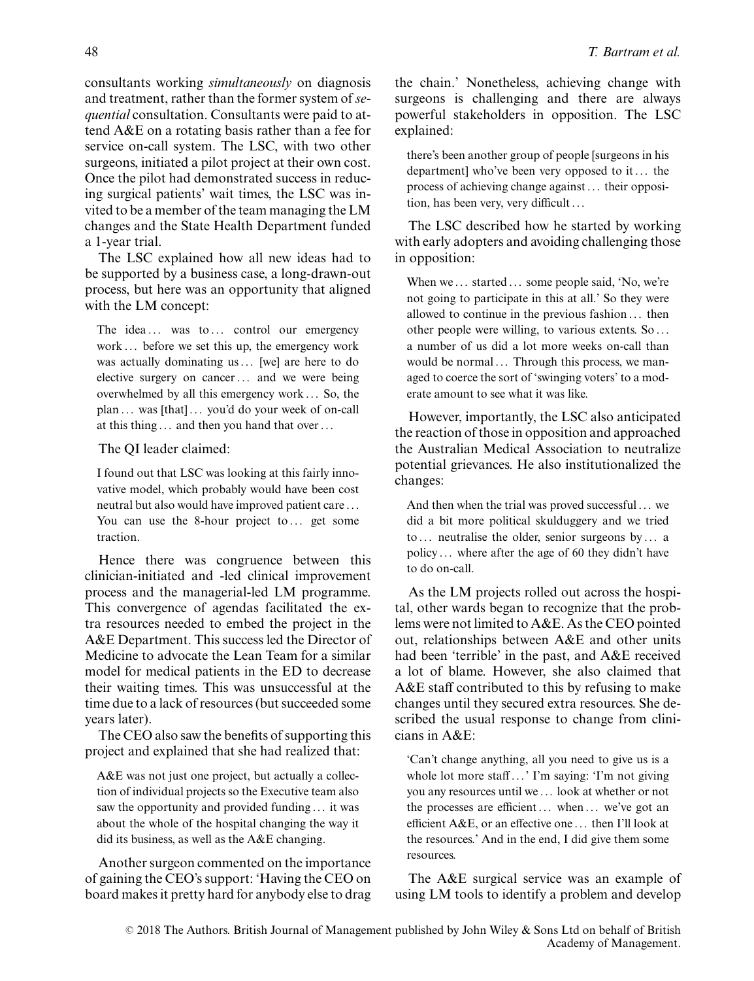consultants working *simultaneously* on diagnosis and treatment, rather than the former system of*sequential* consultation. Consultants were paid to attend A&E on a rotating basis rather than a fee for service on-call system. The LSC, with two other surgeons, initiated a pilot project at their own cost. Once the pilot had demonstrated success in reducing surgical patients' wait times, the LSC was invited to be a member of the team managing the LM changes and the State Health Department funded a 1-year trial.

The LSC explained how all new ideas had to be supported by a business case, a long-drawn-out process, but here was an opportunity that aligned with the LM concept:

The idea ... was to ... control our emergency work ... before we set this up, the emergency work was actually dominating us ... [we] are here to do elective surgery on cancer ... and we were being overwhelmed by all this emergency work ... So, the plan ... was [that] ... you'd do your week of on-call at this thing ... and then you hand that over ...

#### The QI leader claimed:

I found out that LSC was looking at this fairly innovative model, which probably would have been cost neutral but also would have improved patient care ... You can use the 8-hour project to ... get some traction.

Hence there was congruence between this clinician-initiated and -led clinical improvement process and the managerial-led LM programme. This convergence of agendas facilitated the extra resources needed to embed the project in the A&E Department. This success led the Director of Medicine to advocate the Lean Team for a similar model for medical patients in the ED to decrease their waiting times. This was unsuccessful at the time due to a lack of resources (but succeeded some years later).

The CEO also saw the benefits of supporting this project and explained that she had realized that:

A&E was not just one project, but actually a collection of individual projects so the Executive team also saw the opportunity and provided funding ... it was about the whole of the hospital changing the way it did its business, as well as the A&E changing.

Another surgeon commented on the importance of gaining the CEO's support: 'Having the CEO on board makes it pretty hard for anybody else to drag the chain.' Nonetheless, achieving change with surgeons is challenging and there are always powerful stakeholders in opposition. The LSC explained:

there's been another group of people [surgeons in his department] who've been very opposed to it ... the process of achieving change against ... their opposition, has been very, very difficult ...

The LSC described how he started by working with early adopters and avoiding challenging those in opposition:

When we ... started ... some people said, 'No, we're not going to participate in this at all.' So they were allowed to continue in the previous fashion ... then other people were willing, to various extents. So ... a number of us did a lot more weeks on-call than would be normal ... Through this process, we managed to coerce the sort of 'swinging voters' to a moderate amount to see what it was like.

However, importantly, the LSC also anticipated the reaction of those in opposition and approached the Australian Medical Association to neutralize potential grievances. He also institutionalized the changes:

And then when the trial was proved successful ... we did a bit more political skulduggery and we tried to ... neutralise the older, senior surgeons by ... a policy ... where after the age of 60 they didn't have to do on-call.

As the LM projects rolled out across the hospital, other wards began to recognize that the problems were not limited to A&E. As the CEO pointed out, relationships between A&E and other units had been 'terrible' in the past, and A&E received a lot of blame. However, she also claimed that A&E staff contributed to this by refusing to make changes until they secured extra resources. She described the usual response to change from clinicians in A&E:

'Can't change anything, all you need to give us is a whole lot more staff...' I'm saying: 'I'm not giving you any resources until we ... look at whether or not the processes are efficient ... when ... we've got an efficient A&E, or an effective one ... then I'll look at the resources.' And in the end, I did give them some resources.

The A&E surgical service was an example of using LM tools to identify a problem and develop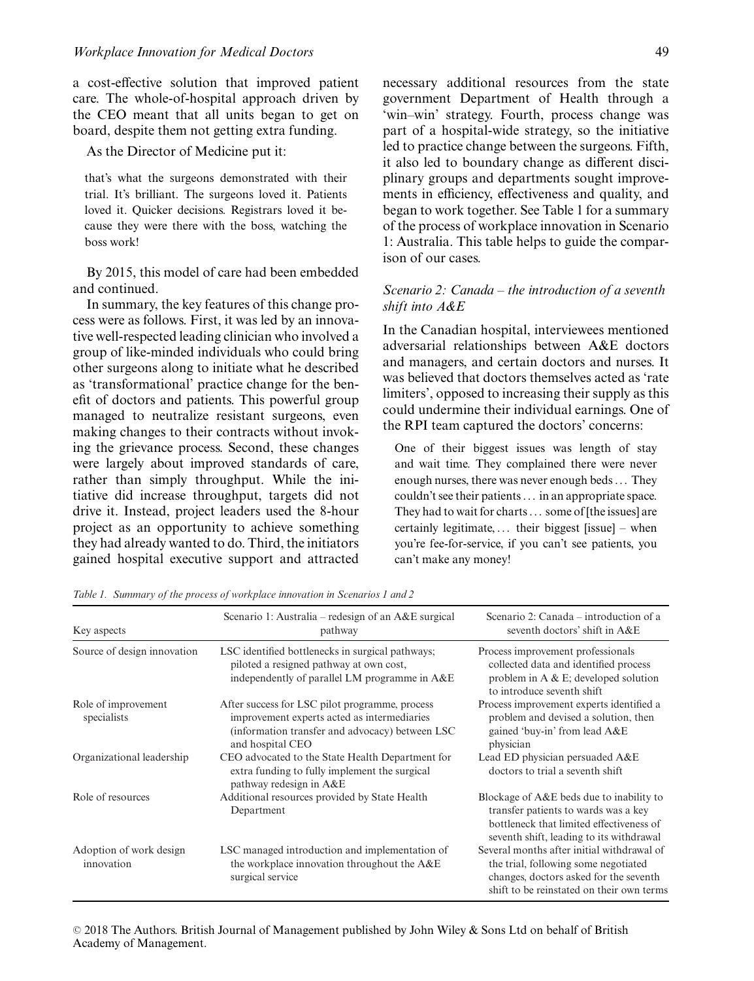a cost-effective solution that improved patient care. The whole-of-hospital approach driven by the CEO meant that all units began to get on board, despite them not getting extra funding.

As the Director of Medicine put it:

that's what the surgeons demonstrated with their trial. It's brilliant. The surgeons loved it. Patients loved it. Quicker decisions. Registrars loved it because they were there with the boss, watching the boss work!

By 2015, this model of care had been embedded and continued.

In summary, the key features of this change process were as follows. First, it was led by an innovative well-respected leading clinician who involved a group of like-minded individuals who could bring other surgeons along to initiate what he described as 'transformational' practice change for the benefit of doctors and patients. This powerful group managed to neutralize resistant surgeons, even making changes to their contracts without invoking the grievance process. Second, these changes were largely about improved standards of care, rather than simply throughput. While the initiative did increase throughput, targets did not drive it. Instead, project leaders used the 8-hour project as an opportunity to achieve something they had already wanted to do. Third, the initiators gained hospital executive support and attracted necessary additional resources from the state government Department of Health through a 'win–win' strategy. Fourth, process change was part of a hospital-wide strategy, so the initiative led to practice change between the surgeons. Fifth, it also led to boundary change as different disciplinary groups and departments sought improvements in efficiency, effectiveness and quality, and began to work together. See Table 1 for a summary of the process of workplace innovation in Scenario 1: Australia. This table helps to guide the comparison of our cases.

#### *Scenario 2: Canada – the introduction of a seventh shift into A&E*

In the Canadian hospital, interviewees mentioned adversarial relationships between A&E doctors and managers, and certain doctors and nurses. It was believed that doctors themselves acted as 'rate limiters', opposed to increasing their supply as this could undermine their individual earnings. One of the RPI team captured the doctors' concerns:

One of their biggest issues was length of stay and wait time. They complained there were never enough nurses, there was never enough beds ... They couldn't see their patients ... in an appropriate space. They had to wait for charts ... some of [the issues] are certainly legitimate, ... their biggest [issue] – when you're fee-for-service, if you can't see patients, you can't make any money!

| Key aspects                           | Scenario 1: Australia – redesign of an $A\&E$ surgical<br>pathway                                                                                                    | Scenario 2: Canada – introduction of a<br>seventh doctors' shift in A&E                                                                                                   |
|---------------------------------------|----------------------------------------------------------------------------------------------------------------------------------------------------------------------|---------------------------------------------------------------------------------------------------------------------------------------------------------------------------|
| Source of design innovation           | LSC identified bottlenecks in surgical pathways;<br>piloted a resigned pathway at own cost,<br>independently of parallel LM programme in A&E                         | Process improvement professionals<br>collected data and identified process<br>problem in A $& E$ ; developed solution<br>to introduce seventh shift.                      |
| Role of improvement<br>specialists    | After success for LSC pilot programme, process<br>improvement experts acted as intermediaries<br>(information transfer and advocacy) between LSC<br>and hospital CEO | Process improvement experts identified a<br>problem and devised a solution, then<br>gained 'buy-in' from lead A&E<br>physician                                            |
| Organizational leadership             | CEO advocated to the State Health Department for<br>extra funding to fully implement the surgical<br>pathway redesign in A&E                                         | Lead ED physician persuaded A&E<br>doctors to trial a seventh shift                                                                                                       |
| Role of resources                     | Additional resources provided by State Health<br>Department                                                                                                          | Blockage of A&E beds due to inability to<br>transfer patients to wards was a key<br>bottleneck that limited effectiveness of<br>seventh shift, leading to its withdrawal  |
| Adoption of work design<br>innovation | LSC managed introduction and implementation of<br>the workplace innovation throughout the A&E<br>surgical service                                                    | Several months after initial withdrawal of<br>the trial, following some negotiated<br>changes, doctors asked for the seventh<br>shift to be reinstated on their own terms |

*Table 1. Summary of the process of workplace innovation in Scenarios 1 and 2*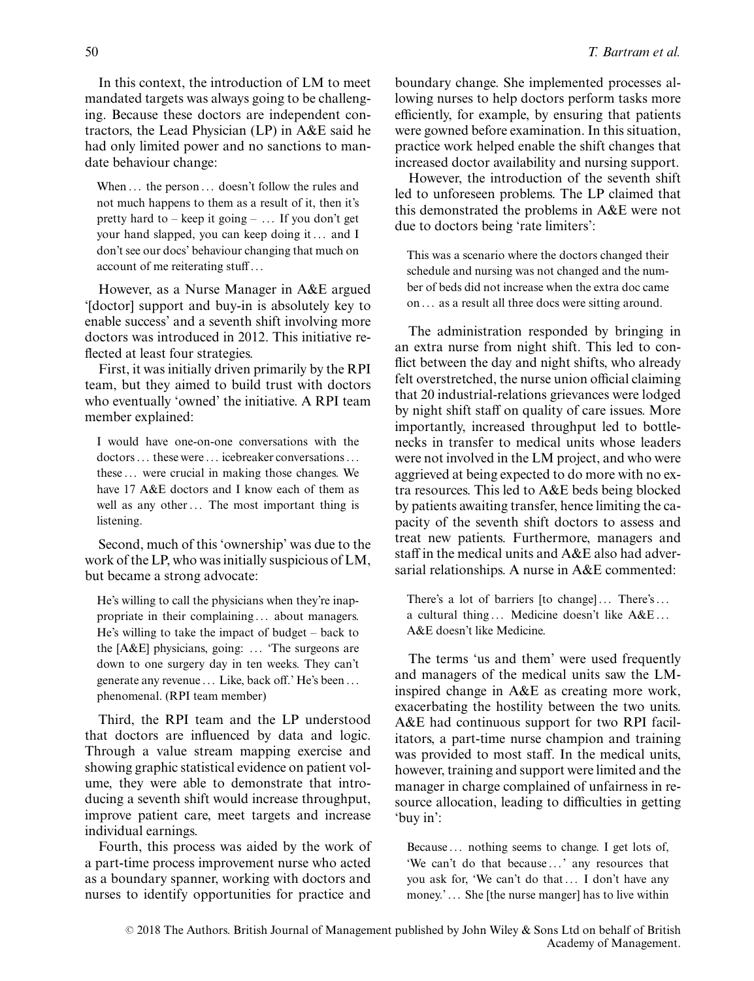In this context, the introduction of LM to meet mandated targets was always going to be challenging. Because these doctors are independent contractors, the Lead Physician (LP) in A&E said he had only limited power and no sanctions to mandate behaviour change:

When ... the person ... doesn't follow the rules and not much happens to them as a result of it, then it's pretty hard to – keep it going – ... If you don't get your hand slapped, you can keep doing it ... and I don't see our docs' behaviour changing that much on account of me reiterating stuff ...

However, as a Nurse Manager in A&E argued '[doctor] support and buy-in is absolutely key to enable success' and a seventh shift involving more doctors was introduced in 2012. This initiative reflected at least four strategies.

First, it was initially driven primarily by the RPI team, but they aimed to build trust with doctors who eventually 'owned' the initiative. A RPI team member explained:

I would have one-on-one conversations with the doctors ... these were ... icebreaker conversations ... these ... were crucial in making those changes. We have 17 A&E doctors and I know each of them as well as any other ... The most important thing is listening.

Second, much of this 'ownership' was due to the work of the LP, who was initially suspicious of LM, but became a strong advocate:

He's willing to call the physicians when they're inappropriate in their complaining ... about managers. He's willing to take the impact of budget – back to the [A&E] physicians, going: ... 'The surgeons are down to one surgery day in ten weeks. They can't generate any revenue ... Like, back off.' He's been ... phenomenal. (RPI team member)

Third, the RPI team and the LP understood that doctors are influenced by data and logic. Through a value stream mapping exercise and showing graphic statistical evidence on patient volume, they were able to demonstrate that introducing a seventh shift would increase throughput, improve patient care, meet targets and increase individual earnings.

Fourth, this process was aided by the work of a part-time process improvement nurse who acted as a boundary spanner, working with doctors and nurses to identify opportunities for practice and

boundary change. She implemented processes allowing nurses to help doctors perform tasks more efficiently, for example, by ensuring that patients were gowned before examination. In this situation, practice work helped enable the shift changes that increased doctor availability and nursing support.

However, the introduction of the seventh shift led to unforeseen problems. The LP claimed that this demonstrated the problems in A&E were not due to doctors being 'rate limiters':

This was a scenario where the doctors changed their schedule and nursing was not changed and the number of beds did not increase when the extra doc came on ... as a result all three docs were sitting around.

The administration responded by bringing in an extra nurse from night shift. This led to conflict between the day and night shifts, who already felt overstretched, the nurse union official claiming that 20 industrial-relations grievances were lodged by night shift staff on quality of care issues. More importantly, increased throughput led to bottlenecks in transfer to medical units whose leaders were not involved in the LM project, and who were aggrieved at being expected to do more with no extra resources. This led to A&E beds being blocked by patients awaiting transfer, hence limiting the capacity of the seventh shift doctors to assess and treat new patients. Furthermore, managers and staff in the medical units and A&E also had adversarial relationships. A nurse in A&E commented:

There's a lot of barriers [to change] ... There's ... a cultural thing ... Medicine doesn't like A&E ... A&E doesn't like Medicine.

The terms 'us and them' were used frequently and managers of the medical units saw the LMinspired change in A&E as creating more work, exacerbating the hostility between the two units. A&E had continuous support for two RPI facilitators, a part-time nurse champion and training was provided to most staff. In the medical units, however, training and support were limited and the manager in charge complained of unfairness in resource allocation, leading to difficulties in getting 'buy in':

Because ... nothing seems to change. I get lots of, 'We can't do that because ...' any resources that you ask for, 'We can't do that ... I don't have any money.' ... She [the nurse manger] has to live within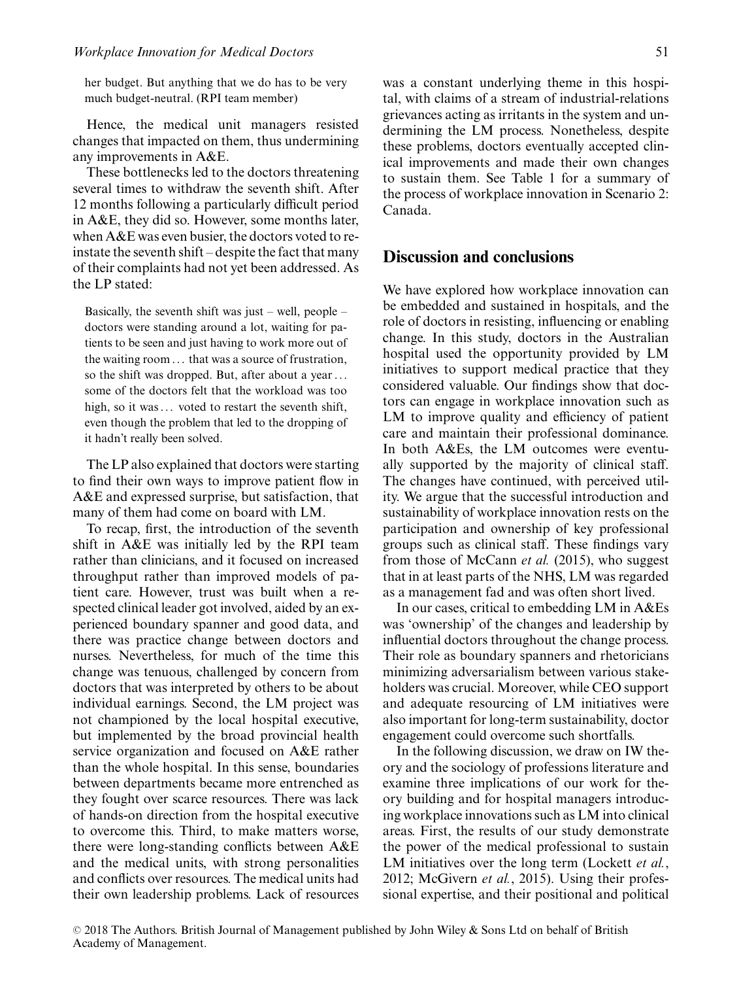her budget. But anything that we do has to be very much budget-neutral. (RPI team member)

Hence, the medical unit managers resisted changes that impacted on them, thus undermining any improvements in A&E.

These bottlenecks led to the doctors threatening several times to withdraw the seventh shift. After 12 months following a particularly difficult period in A&E, they did so. However, some months later, when A&E was even busier, the doctors voted to reinstate the seventh shift – despite the fact that many of their complaints had not yet been addressed. As the LP stated:

Basically, the seventh shift was just – well, people – doctors were standing around a lot, waiting for patients to be seen and just having to work more out of the waiting room ... that was a source of frustration, so the shift was dropped. But, after about a year ... some of the doctors felt that the workload was too high, so it was ... voted to restart the seventh shift, even though the problem that led to the dropping of it hadn't really been solved.

The LP also explained that doctors were starting to find their own ways to improve patient flow in A&E and expressed surprise, but satisfaction, that many of them had come on board with LM.

To recap, first, the introduction of the seventh shift in A&E was initially led by the RPI team rather than clinicians, and it focused on increased throughput rather than improved models of patient care. However, trust was built when a respected clinical leader got involved, aided by an experienced boundary spanner and good data, and there was practice change between doctors and nurses. Nevertheless, for much of the time this change was tenuous, challenged by concern from doctors that was interpreted by others to be about individual earnings. Second, the LM project was not championed by the local hospital executive, but implemented by the broad provincial health service organization and focused on A&E rather than the whole hospital. In this sense, boundaries between departments became more entrenched as they fought over scarce resources. There was lack of hands-on direction from the hospital executive to overcome this. Third, to make matters worse, there were long-standing conflicts between A&E and the medical units, with strong personalities and conflicts over resources. The medical units had their own leadership problems. Lack of resources was a constant underlying theme in this hospital, with claims of a stream of industrial-relations grievances acting as irritants in the system and undermining the LM process. Nonetheless, despite these problems, doctors eventually accepted clinical improvements and made their own changes to sustain them. See Table 1 for a summary of the process of workplace innovation in Scenario 2: Canada.

#### **Discussion and conclusions**

We have explored how workplace innovation can be embedded and sustained in hospitals, and the role of doctors in resisting, influencing or enabling change. In this study, doctors in the Australian hospital used the opportunity provided by LM initiatives to support medical practice that they considered valuable. Our findings show that doctors can engage in workplace innovation such as LM to improve quality and efficiency of patient care and maintain their professional dominance. In both A&Es, the LM outcomes were eventually supported by the majority of clinical staff. The changes have continued, with perceived utility. We argue that the successful introduction and sustainability of workplace innovation rests on the participation and ownership of key professional groups such as clinical staff. These findings vary from those of McCann *et al.* (2015), who suggest that in at least parts of the NHS, LM was regarded as a management fad and was often short lived.

In our cases, critical to embedding LM in A&Es was 'ownership' of the changes and leadership by influential doctors throughout the change process. Their role as boundary spanners and rhetoricians minimizing adversarialism between various stakeholders was crucial. Moreover, while CEO support and adequate resourcing of LM initiatives were also important for long-term sustainability, doctor engagement could overcome such shortfalls.

In the following discussion, we draw on IW theory and the sociology of professions literature and examine three implications of our work for theory building and for hospital managers introducing workplace innovations such as LM into clinical areas. First, the results of our study demonstrate the power of the medical professional to sustain LM initiatives over the long term (Lockett *et al.*, 2012; McGivern *et al.*, 2015). Using their professional expertise, and their positional and political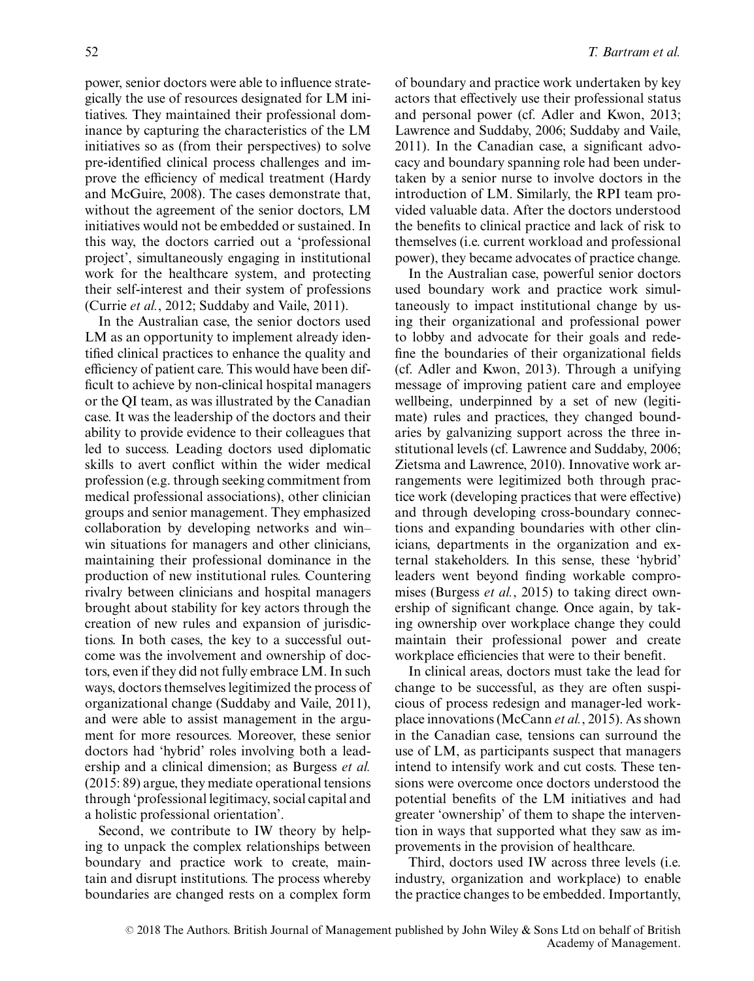power, senior doctors were able to influence strategically the use of resources designated for LM initiatives. They maintained their professional dominance by capturing the characteristics of the LM initiatives so as (from their perspectives) to solve pre-identified clinical process challenges and improve the efficiency of medical treatment (Hardy and McGuire, 2008). The cases demonstrate that, without the agreement of the senior doctors, LM initiatives would not be embedded or sustained. In this way, the doctors carried out a 'professional project', simultaneously engaging in institutional work for the healthcare system, and protecting their self-interest and their system of professions (Currie *et al.*, 2012; Suddaby and Vaile, 2011).

In the Australian case, the senior doctors used LM as an opportunity to implement already identified clinical practices to enhance the quality and efficiency of patient care. This would have been difficult to achieve by non-clinical hospital managers or the QI team, as was illustrated by the Canadian case. It was the leadership of the doctors and their ability to provide evidence to their colleagues that led to success. Leading doctors used diplomatic skills to avert conflict within the wider medical profession (e.g. through seeking commitment from medical professional associations), other clinician groups and senior management. They emphasized collaboration by developing networks and win– win situations for managers and other clinicians, maintaining their professional dominance in the production of new institutional rules. Countering rivalry between clinicians and hospital managers brought about stability for key actors through the creation of new rules and expansion of jurisdictions. In both cases, the key to a successful outcome was the involvement and ownership of doctors, even if they did not fully embrace LM. In such ways, doctors themselves legitimized the process of organizational change (Suddaby and Vaile, 2011), and were able to assist management in the argument for more resources. Moreover, these senior doctors had 'hybrid' roles involving both a leadership and a clinical dimension; as Burgess *et al.* (2015: 89) argue, they mediate operational tensions through 'professional legitimacy, social capital and a holistic professional orientation'.

Second, we contribute to IW theory by helping to unpack the complex relationships between boundary and practice work to create, maintain and disrupt institutions. The process whereby boundaries are changed rests on a complex form of boundary and practice work undertaken by key actors that effectively use their professional status and personal power (cf. Adler and Kwon, 2013; Lawrence and Suddaby, 2006; Suddaby and Vaile, 2011). In the Canadian case, a significant advocacy and boundary spanning role had been undertaken by a senior nurse to involve doctors in the introduction of LM. Similarly, the RPI team provided valuable data. After the doctors understood the benefits to clinical practice and lack of risk to themselves (i.e. current workload and professional power), they became advocates of practice change.

In the Australian case, powerful senior doctors used boundary work and practice work simultaneously to impact institutional change by using their organizational and professional power to lobby and advocate for their goals and redefine the boundaries of their organizational fields (cf. Adler and Kwon, 2013). Through a unifying message of improving patient care and employee wellbeing, underpinned by a set of new (legitimate) rules and practices, they changed boundaries by galvanizing support across the three institutional levels (cf. Lawrence and Suddaby, 2006; Zietsma and Lawrence, 2010). Innovative work arrangements were legitimized both through practice work (developing practices that were effective) and through developing cross-boundary connections and expanding boundaries with other clinicians, departments in the organization and external stakeholders. In this sense, these 'hybrid' leaders went beyond finding workable compromises (Burgess *et al.*, 2015) to taking direct ownership of significant change. Once again, by taking ownership over workplace change they could maintain their professional power and create workplace efficiencies that were to their benefit.

In clinical areas, doctors must take the lead for change to be successful, as they are often suspicious of process redesign and manager-led workplace innovations (McCann *et al.*, 2015). As shown in the Canadian case, tensions can surround the use of LM, as participants suspect that managers intend to intensify work and cut costs. These tensions were overcome once doctors understood the potential benefits of the LM initiatives and had greater 'ownership' of them to shape the intervention in ways that supported what they saw as improvements in the provision of healthcare.

Third, doctors used IW across three levels (i.e. industry, organization and workplace) to enable the practice changes to be embedded. Importantly,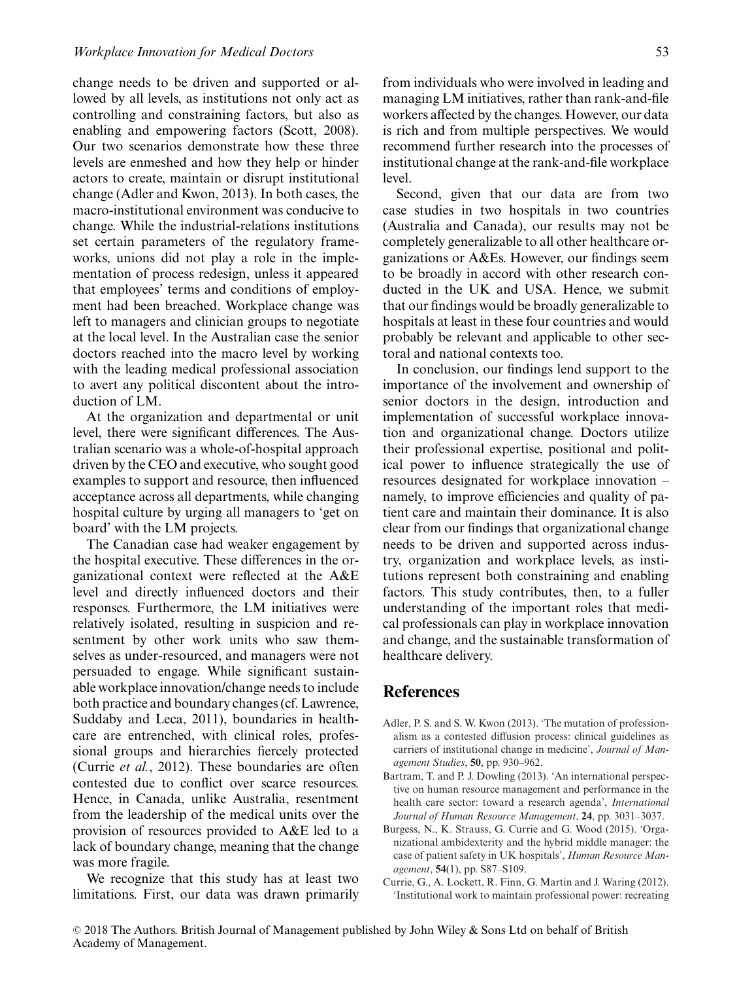change needs to be driven and supported or allowed by all levels, as institutions not only act as controlling and constraining factors, but also as enabling and empowering factors (Scott, 2008). Our two scenarios demonstrate how these three levels are enmeshed and how they help or hinder actors to create, maintain or disrupt institutional change (Adler and Kwon, 2013). In both cases, the macro-institutional environment was conducive to change. While the industrial-relations institutions set certain parameters of the regulatory frameworks, unions did not play a role in the implementation of process redesign, unless it appeared that employees' terms and conditions of employment had been breached. Workplace change was left to managers and clinician groups to negotiate at the local level. In the Australian case the senior doctors reached into the macro level by working with the leading medical professional association to avert any political discontent about the introduction of LM.

At the organization and departmental or unit level, there were significant differences. The Australian scenario was a whole-of-hospital approach driven by the CEO and executive, who sought good examples to support and resource, then influenced acceptance across all departments, while changing hospital culture by urging all managers to 'get on board' with the LM projects.

The Canadian case had weaker engagement by the hospital executive. These differences in the organizational context were reflected at the A&E level and directly influenced doctors and their responses. Furthermore, the LM initiatives were relatively isolated, resulting in suspicion and resentment by other work units who saw themselves as under-resourced, and managers were not persuaded to engage. While significant sustainable workplace innovation/change needs to include both practice and boundary changes (cf. Lawrence, Suddaby and Leca, 2011), boundaries in healthcare are entrenched, with clinical roles, professional groups and hierarchies fiercely protected (Currie *et al.*, 2012). These boundaries are often contested due to conflict over scarce resources. Hence, in Canada, unlike Australia, resentment from the leadership of the medical units over the provision of resources provided to A&E led to a lack of boundary change, meaning that the change was more fragile.

We recognize that this study has at least two limitations. First, our data was drawn primarily from individuals who were involved in leading and managing LM initiatives, rather than rank-and-file workers affected by the changes. However, our data is rich and from multiple perspectives. We would recommend further research into the processes of institutional change at the rank-and-file workplace level.

Second, given that our data are from two case studies in two hospitals in two countries (Australia and Canada), our results may not be completely generalizable to all other healthcare organizations or A&Es. However, our findings seem to be broadly in accord with other research conducted in the UK and USA. Hence, we submit that our findings would be broadly generalizable to hospitals at least in these four countries and would probably be relevant and applicable to other sectoral and national contexts too.

In conclusion, our findings lend support to the importance of the involvement and ownership of senior doctors in the design, introduction and implementation of successful workplace innovation and organizational change. Doctors utilize their professional expertise, positional and political power to influence strategically the use of resources designated for workplace innovation – namely, to improve efficiencies and quality of patient care and maintain their dominance. It is also clear from our findings that organizational change needs to be driven and supported across industry, organization and workplace levels, as institutions represent both constraining and enabling factors. This study contributes, then, to a fuller understanding of the important roles that medical professionals can play in workplace innovation and change, and the sustainable transformation of healthcare delivery.

### **References**

- Adler, P. S. and S. W. Kwon (2013). 'The mutation of professionalism as a contested diffusion process: clinical guidelines as carriers of institutional change in medicine', *Journal of Management Studies*, **50**, pp. 930–962.
- Bartram, T. and P. J. Dowling (2013). 'An international perspective on human resource management and performance in the health care sector: toward a research agenda', *International Journal of Human Resource Management*, **24**, pp. 3031–3037.
- Burgess, N., K. Strauss, G. Currie and G. Wood (2015). 'Organizational ambidexterity and the hybrid middle manager: the case of patient safety in UK hospitals', *Human Resource Management*, **54**(1), pp. S87–S109.
- Currie, G., A. Lockett, R. Finn, G. Martin and J. Waring (2012). 'Institutional work to maintain professional power: recreating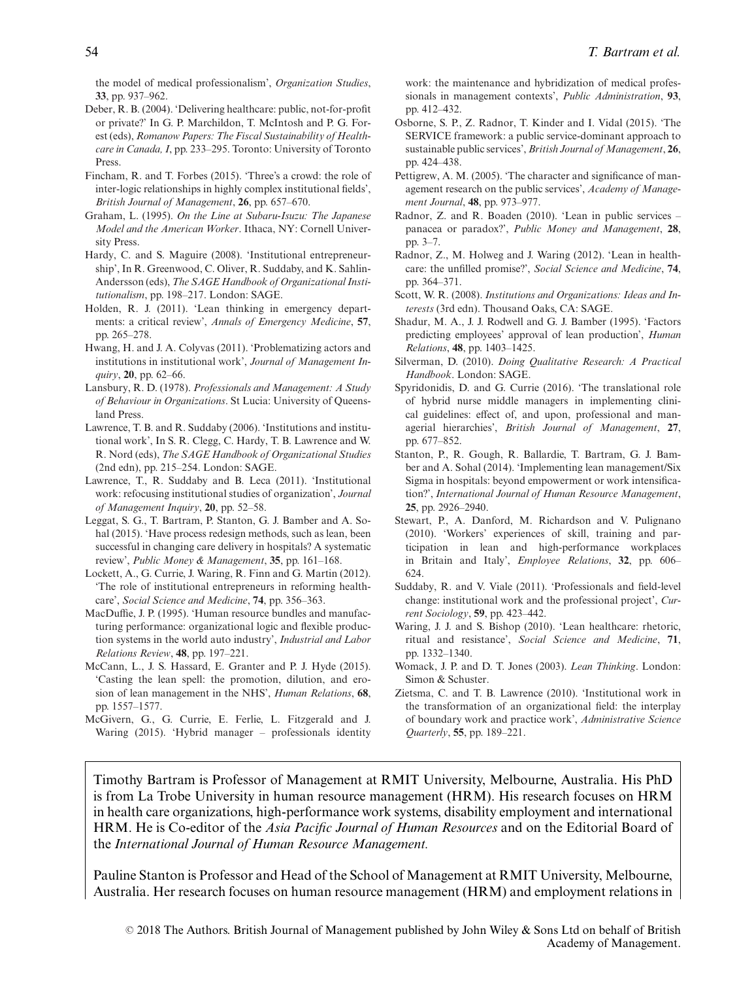the model of medical professionalism', *Organization Studies*, **33**, pp. 937–962.

- Deber, R. B. (2004). 'Delivering healthcare: public, not-for-profit or private?' In G. P. Marchildon, T. McIntosh and P. G. Forest (eds), *Romanow Papers: The Fiscal Sustainability of Healthcare in Canada, I*, pp. 233–295. Toronto: University of Toronto Press.
- Fincham, R. and T. Forbes (2015). 'Three's a crowd: the role of inter-logic relationships in highly complex institutional fields', *British Journal of Management*, **26**, pp. 657–670.
- Graham, L. (1995). *On the Line at Subaru-Isuzu: The Japanese Model and the American Worker*. Ithaca, NY: Cornell University Press.
- Hardy, C. and S. Maguire (2008). 'Institutional entrepreneurship', In R. Greenwood, C. Oliver, R. Suddaby, and K. Sahlin-Andersson (eds), *The SAGE Handbook of Organizational Institutionalism*, pp. 198–217. London: SAGE.
- Holden, R. J. (2011). 'Lean thinking in emergency departments: a critical review', *Annals of Emergency Medicine*, **57**, pp. 265–278.
- Hwang, H. and J. A. Colyvas (2011). 'Problematizing actors and institutions in institutional work', *Journal of Management Inquiry*, **20**, pp. 62–66.
- Lansbury, R. D. (1978). *Professionals and Management: A Study of Behaviour in Organizations*. St Lucia: University of Queensland Press.
- Lawrence, T. B. and R. Suddaby (2006). 'Institutions and institutional work', In S. R. Clegg, C. Hardy, T. B. Lawrence and W. R. Nord (eds), *The SAGE Handbook of Organizational Studies* (2nd edn), pp. 215–254. London: SAGE.
- Lawrence, T., R. Suddaby and B. Leca (2011). 'Institutional work: refocusing institutional studies of organization', *Journal of Management Inquiry*, **20**, pp. 52–58.
- Leggat, S. G., T. Bartram, P. Stanton, G. J. Bamber and A. Sohal (2015). 'Have process redesign methods, such as lean, been successful in changing care delivery in hospitals? A systematic review', *Public Money & Management*, **35**, pp. 161–168.
- Lockett, A., G. Currie, J. Waring, R. Finn and G. Martin (2012). 'The role of institutional entrepreneurs in reforming healthcare', *Social Science and Medicine*, **74**, pp. 356–363.
- MacDuffie, J. P. (1995). 'Human resource bundles and manufacturing performance: organizational logic and flexible production systems in the world auto industry', *Industrial and Labor Relations Review*, **48**, pp. 197–221.
- McCann, L., J. S. Hassard, E. Granter and P. J. Hyde (2015). 'Casting the lean spell: the promotion, dilution, and erosion of lean management in the NHS', *Human Relations*, **68**, pp. 1557–1577.
- McGivern, G., G. Currie, E. Ferlie, L. Fitzgerald and J. Waring (2015). 'Hybrid manager – professionals identity

work: the maintenance and hybridization of medical professionals in management contexts', *Public Administration*, **93**, pp. 412–432.

- Osborne, S. P., Z. Radnor, T. Kinder and I. Vidal (2015). 'The SERVICE framework: a public service-dominant approach to sustainable public services', *British Journal of Management*, **26**, pp. 424–438.
- Pettigrew, A. M. (2005). 'The character and significance of management research on the public services', *Academy of Management Journal*, **48**, pp. 973–977.
- Radnor, Z. and R. Boaden (2010). 'Lean in public services panacea or paradox?', *Public Money and Management*, **28**, pp. 3–7.
- Radnor, Z., M. Holweg and J. Waring (2012). 'Lean in healthcare: the unfilled promise?', *Social Science and Medicine*, **74**, pp. 364–371.
- Scott, W. R. (2008). *Institutions and Organizations: Ideas and Interests* (3rd edn). Thousand Oaks, CA: SAGE.
- Shadur, M. A., J. J. Rodwell and G. J. Bamber (1995). 'Factors predicting employees' approval of lean production', *Human Relations*, **48**, pp. 1403–1425.
- Silverman, D. (2010). *Doing Qualitative Research: A Practical Handbook*. London: SAGE.
- Spyridonidis, D. and G. Currie (2016). 'The translational role of hybrid nurse middle managers in implementing clinical guidelines: effect of, and upon, professional and managerial hierarchies', *British Journal of Management*, **27**, pp. 677–852.
- Stanton, P., R. Gough, R. Ballardie, T. Bartram, G. J. Bamber and A. Sohal (2014). 'Implementing lean management/Six Sigma in hospitals: beyond empowerment or work intensification?', *International Journal of Human Resource Management*, **25**, pp. 2926–2940.
- Stewart, P., A. Danford, M. Richardson and V. Pulignano (2010). 'Workers' experiences of skill, training and participation in lean and high-performance workplaces in Britain and Italy', *Employee Relations*, **32**, pp. 606– 624.
- Suddaby, R. and V. Viale (2011). 'Professionals and field-level change: institutional work and the professional project', *Current Sociology*, **59**, pp. 423–442.
- Waring, J. J. and S. Bishop (2010). 'Lean healthcare: rhetoric, ritual and resistance', *Social Science and Medicine*, **71**, pp. 1332–1340.
- Womack, J. P. and D. T. Jones (2003). *Lean Thinking*. London: Simon & Schuster.
- Zietsma, C. and T. B. Lawrence (2010). 'Institutional work in the transformation of an organizational field: the interplay of boundary work and practice work', *Administrative Science Quarterly*, **55**, pp. 189–221.

Timothy Bartram is Professor of Management at RMIT University, Melbourne, Australia. His PhD is from La Trobe University in human resource management (HRM). His research focuses on HRM in health care organizations, high-performance work systems, disability employment and international HRM. He is Co-editor of the *Asia Pacific Journal of Human Resources* and on the Editorial Board of the *International Journal of Human Resource Management.*

Pauline Stanton is Professor and Head of the School of Management at RMIT University, Melbourne, Australia. Her research focuses on human resource management (HRM) and employment relations in